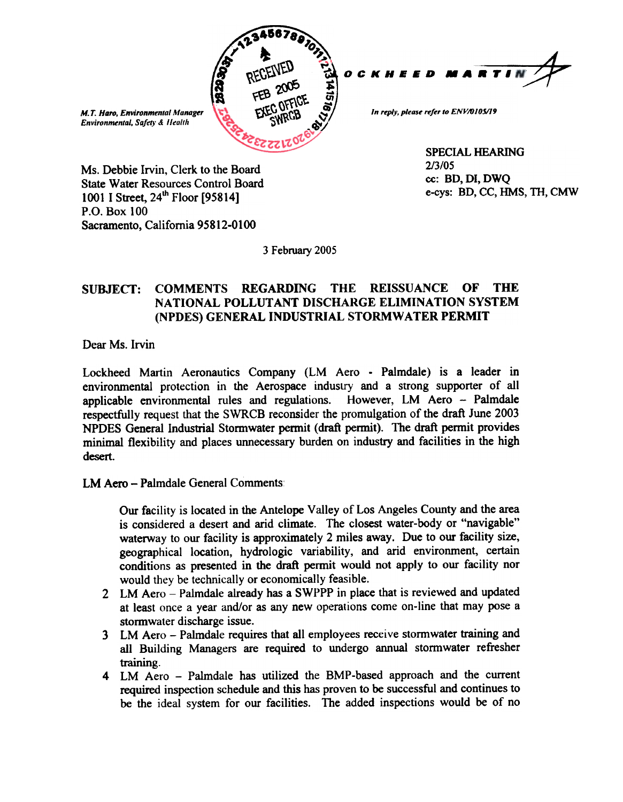

SPECIAL HEARING e-cys: BD, CC, HMS, TH, CMW

Ms. Debbie Irvin, Clerk to the Board<br>
State Water Bosources Control Board<br>
Co: BD, DI, DWQ State Water Resources Control Board 1001 I Street,  $24^{\text{th}}$  Floor [95814]<br>P.O. Box 100 Sacramento, California 95812-0100

3 February 2005

## SUBJECT: COMMENTS REGARDING THE REISSUANCE OF THE<br>NATIONAL POLLUTANT DISCHARGE ELIMINATION SYSTEM OF **THE** (NPDES) GENERAL INDUSTRIAL STORMWATER PERMIT

Dear Ms. Irvin

Lockheed Martin Aeronautics Company (LM Aero - Palmdale) is a leader in environmental protection in the Aerospace industry and a strong supporter of all applicable environmental rules and regulations. However, LM Aero - Palmdale respectfully request that the SWRCB reconsider the promulgation of the draft June 2003 NPDES General Industrial Stormwater permit (draft permit). The draft permit provides minimal flexibility and places unnecessary burden on industry and facilities in the high desert.

LM Aero - Palmdale General Comments:

Our facility is located in the Antelope Valley of Los Angeles County and the area is considered a desert and arid climate. The closest water-body or "navigable" waterway to our facility is approximately 2 miles away. Due to our facility size. geographical location, hydrologic variability, and arid environment, certain conditions as presented in the draft permit would not apply to our facility nor would they be technically or economically feasible.

- 2. LM Aero Palmdale already has a SWPPP in place that is reviewed and updated at least once a year and/or as any new operations come on-line that may pose a stormwater discharge issue.
- 3 LM Aero Palmdale requires that all employees receive stormwater training and all Building Managers are required to undergo annual stormwater refresher training.
- required inspection schedule and this has proven to be successful and continues to be the ideal system for our facilities. The added inspections would be of no 4 LM Aero – Palmdale has utilized the BMP-based approach and the current